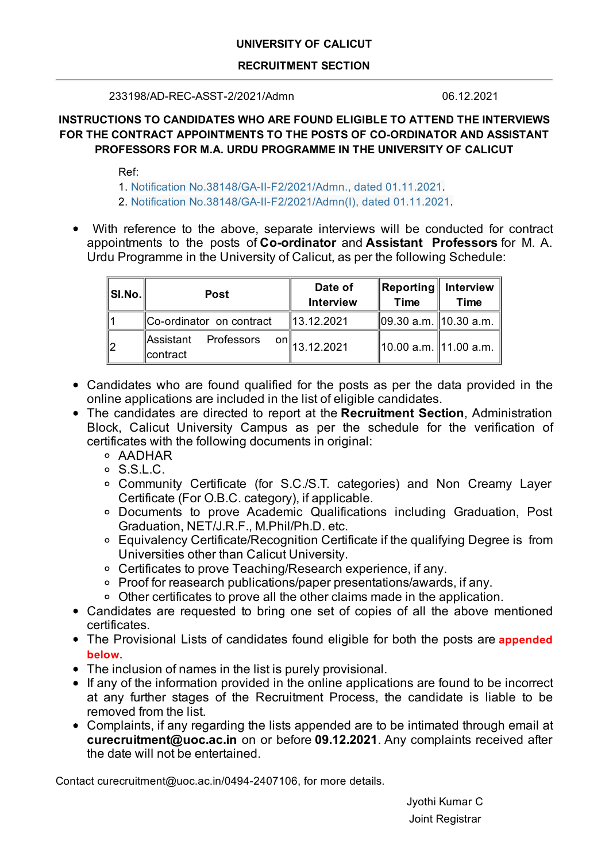## **UNIVERSITY OF CALICUT**

### **RECRUITMENT SECTION**

233198/AD-REC-ASST-2/2021/Admn 06.12.2021

# **INSTRUCTIONS TO CANDIDATES WHO ARE FOUND ELIGIBLE TO ATTEND THE INTERVIEWS FOR THE CONTRACT APPOINTMENTS TO THE POSTS OF CO-ORDINATOR AND ASSISTANT PROFESSORS FOR M.A. URDU PROGRAMME IN THE UNIVERSITY OF CALICUT**

Ref:

- 1. Notification No.38148/GA-II-F2/2021/Admn., dated 01.11.2021.
- 2. Notification No.38148/GA-II-F2/2021/Admn(I), dated 01.11.2021.
- With reference to the above, separate interviews will be conducted for contract appointments to the posts of **Co-ordinator** and **Assistant Professors** for M. A. Urdu Programme in the University of Calicut, as per the following Schedule:

| $\ $ SI.No. $\ $ | <b>Post</b>                           | Date of<br><b>Interview</b>           | $\ $ Reporting $\ $ Interview<br><b>Time</b> | Time |
|------------------|---------------------------------------|---------------------------------------|----------------------------------------------|------|
|                  | Co-ordinator on contract              | 13.12.2021                            | ∥09.30 a.m. ∥10.30 a.m.                      |      |
|                  | ∥Assistant<br>Professors<br>∥contract | $\frac{\text{on}}{\text{13.12.2021}}$ | 10.00 a.m.   11.00 a.m.                      |      |

- Candidates who are found qualified for the posts as per the data provided in the online applications are included in the list of eligible candidates.
- The candidates are directed to report at the **Recruitment Section**, Administration Block, Calicut University Campus as per the schedule for the verification of certificates with the following documents in original:
	- AADHAR
	- S.S.L.C.
	- Community Certificate (for S.C./S.T. categories) and Non Creamy Layer Certificate (For O.B.C. category), if applicable.
	- Documents to prove Academic Qualifications including Graduation, Post Graduation, NET/J.R.F., M.Phil/Ph.D. etc.
	- Equivalency Certificate/Recognition Certificate if the qualifying Degree is from Universities other than Calicut University.
	- Certificates to prove Teaching/Research experience, if any.
	- Proof for reasearch publications/paper presentations/awards, if any.
	- Other certificates to prove all the other claims made in the application.
- Candidates are requested to bring one set of copies of all the above mentioned certificates.
- The Provisional Lists of candidates found eligible for both the posts are **appended below**.
- The inclusion of names in the list is purely provisional.
- If any of the information provided in the online applications are found to be incorrect at any further stages of the Recruitment Process, the candidate is liable to be removed from the list.
- Complaints, if any regarding the lists appended are to be intimated through email at **curecruitment@uoc.ac.in** on or before **09.12.2021**. Any complaints received after the date will not be entertained.

Contact curecruitment@uoc.ac.in/0494-2407106, for more details.